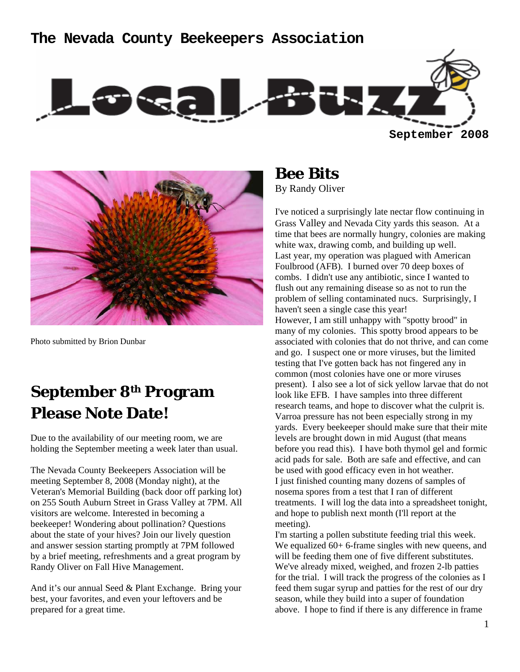### **The Nevada County Beekeepers Association**





Photo submitted by Brion Dunbar

# **September 8th Program Please Note Date!**

Due to the availability of our meeting room, we are holding the September meeting a week later than usual.

The Nevada County Beekeepers Association will be meeting September 8, 2008 (Monday night), at the Veteran's Memorial Building (back door off parking lot) on 255 South Auburn Street in Grass Valley at 7PM. All visitors are welcome. Interested in becoming a beekeeper! Wondering about pollination? Questions about the state of your hives? Join our lively question and answer session starting promptly at 7PM followed by a brief meeting, refreshments and a great program by Randy Oliver on Fall Hive Management.

And it's our annual Seed & Plant Exchange. Bring your best, your favorites, and even your leftovers and be prepared for a great time.

**Bee Bits**  By Randy Oliver

I've noticed a surprisingly late nectar flow continuing in Grass Valley and Nevada City yards this season. At a time that bees are normally hungry, colonies are making white wax, drawing comb, and building up well. Last year, my operation was plagued with American Foulbrood (AFB). I burned over 70 deep boxes of combs. I didn't use any antibiotic, since I wanted to flush out any remaining disease so as not to run the problem of selling contaminated nucs. Surprisingly, I haven't seen a single case this year! However, I am still unhappy with "spotty brood" in many of my colonies. This spotty brood appears to be associated with colonies that do not thrive, and can come and go. I suspect one or more viruses, but the limited testing that I've gotten back has not fingered any in common (most colonies have one or more viruses present). I also see a lot of sick yellow larvae that do not look like EFB. I have samples into three different research teams, and hope to discover what the culprit is. Varroa pressure has not been especially strong in my yards. Every beekeeper should make sure that their mite levels are brought down in mid August (that means before you read this). I have both thymol gel and formic acid pads for sale. Both are safe and effective, and can be used with good efficacy even in hot weather. I just finished counting many dozens of samples of nosema spores from a test that I ran of different treatments. I will log the data into a spreadsheet tonight, and hope to publish next month (I'll report at the meeting).

I'm starting a pollen substitute feeding trial this week. We equalized  $60+ 6$ -frame singles with new queens, and will be feeding them one of five different substitutes. We've already mixed, weighed, and frozen 2-lb patties for the trial. I will track the progress of the colonies as I feed them sugar syrup and patties for the rest of our dry season, while they build into a super of foundation above. I hope to find if there is any difference in frame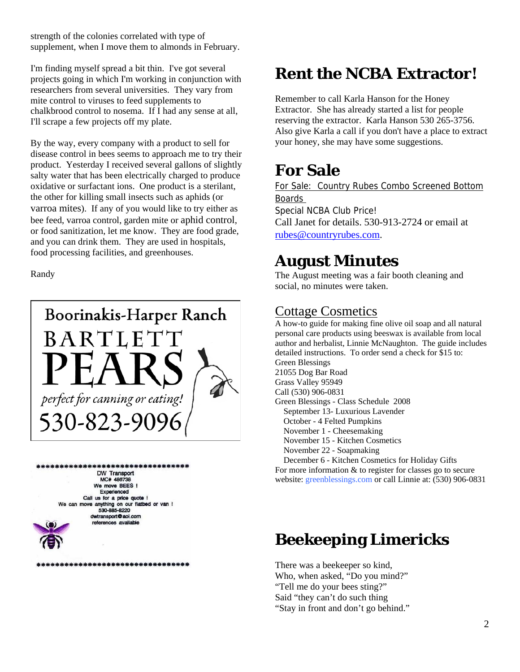strength of the colonies correlated with type of supplement, when I move them to almonds in February.

I'm finding myself spread a bit thin. I've got several projects going in which I'm working in conjunction with researchers from several universities. They vary from mite control to viruses to feed supplements to chalkbrood control to nosema. If I had any sense at all, I'll scrape a few projects off my plate.

By the way, every company with a product to sell for disease control in bees seems to approach me to try their product. Yesterday I received several gallons of slightly salty water that has been electrically charged to produce oxidative or surfactant ions. One product is a sterilant, the other for killing small insects such as aphids (or varroa mites). If any of you would like to try either as bee feed, varroa control, garden mite or aphid control, or food sanitization, let me know. They are food grade, and you can drink them. They are used in hospitals, food processing facilities, and greenhouses.

Randy





\*\*\*\*\*\*\*\*\*\*\*\*\*\*\*\*\*\*\*\*\*\*\*\*\*\*\*\*\*\*\*

# **Rent the NCBA Extractor!**

Remember to call Karla Hanson for the Honey Extractor. She has already started a list for people reserving the extractor. Karla Hanson 530 265-3756. Also give Karla a call if you don't have a place to extract your honey, she may have some suggestions.

# **For Sale**

For Sale: Country Rubes Combo Screened Bottom Boards Special NCBA Club Price! Call Janet for details. 530-913-2724 or email at rubes@countryrubes.com.

# **August Minutes**

The August meeting was a fair booth cleaning and social, no minutes were taken.

### Cottage Cosmetics

A how-to guide for making fine olive oil soap and all natural personal care products using beeswax is available from local author and herbalist, Linnie McNaughton. The guide includes detailed instructions. To order send a check for \$15 to: Green Blessings 21055 Dog Bar Road Grass Valley 95949 Call (530) 906-0831 Green Blessings - Class Schedule 2008 September 13- Luxurious Lavender October - 4 Felted Pumpkins November 1 - Cheesemaking November 15 - Kitchen Cosmetics November 22 - Soapmaking December 6 - Kitchen Cosmetics for Holiday Gifts For more information & to register for classes go to secure website: greenblessings.com or call Linnie at: (530) 906-0831

# **Beekeeping Limericks**

There was a beekeeper so kind, Who, when asked, "Do you mind?" "Tell me do your bees sting?" Said "they can't do such thing "Stay in front and don't go behind."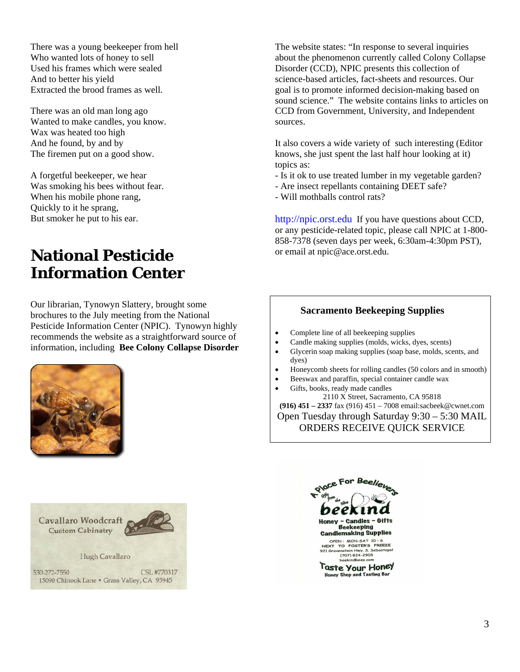There was a young beekeeper from hell Who wanted lots of honey to sell Used his frames which were sealed And to better his yield Extracted the brood frames as well.

There was an old man long ago Wanted to make candles, you know. Wax was heated too high And he found, by and by The firemen put on a good show.

A forgetful beekeeper, we hear Was smoking his bees without fear. When his mobile phone rang, Quickly to it he sprang, But smoker he put to his ear.

## **National Pesticide Information Center**

Our librarian, Tynowyn Slattery, brought some brochures to the July meeting from the National Pesticide Information Center (NPIC). Tynowyn highly recommends the website as a straightforward source of information, including **Bee Colony Collapse Disorder** 





The website states: "In response to several inquiries about the phenomenon currently called Colony Collapse Disorder (CCD), NPIC presents this collection of science-based articles, fact-sheets and resources. Our goal is to promote informed decision-making based on sound science." The website contains links to articles on CCD from Government, University, and Independent sources.

It also covers a wide variety of such interesting (Editor knows, she just spent the last half hour looking at it) topics as:

- Is it ok to use treated lumber in my vegetable garden?
- Are insect repellants containing DEET safe?
- Will mothballs control rats?

http://npic.orst.edu If you have questions about CCD, or any pesticide-related topic, please call NPIC at 1-800- 858-7378 (seven days per week, 6:30am-4:30pm PST), or email at npic@ace.orst.edu.

#### **Sacramento Beekeeping Supplies**

- Complete line of all beekeeping supplies
- Candle making supplies (molds, wicks, dyes, scents)
- Glycerin soap making supplies (soap base, molds, scents, and dyes)
- Honeycomb sheets for rolling candles (50 colors and in smooth)
- Beeswax and paraffin, special container candle wax
- Gifts, books, ready made candles

2110 X Street, Sacramento, CA 95818 **(916) 451 – 2337** fax (916) 451 – 7008 email:sacbeek@cwnet.com Open Tuesday through Saturday 9:30 – 5:30 MAIL ORDERS RECEIVE QUICK SERVICE